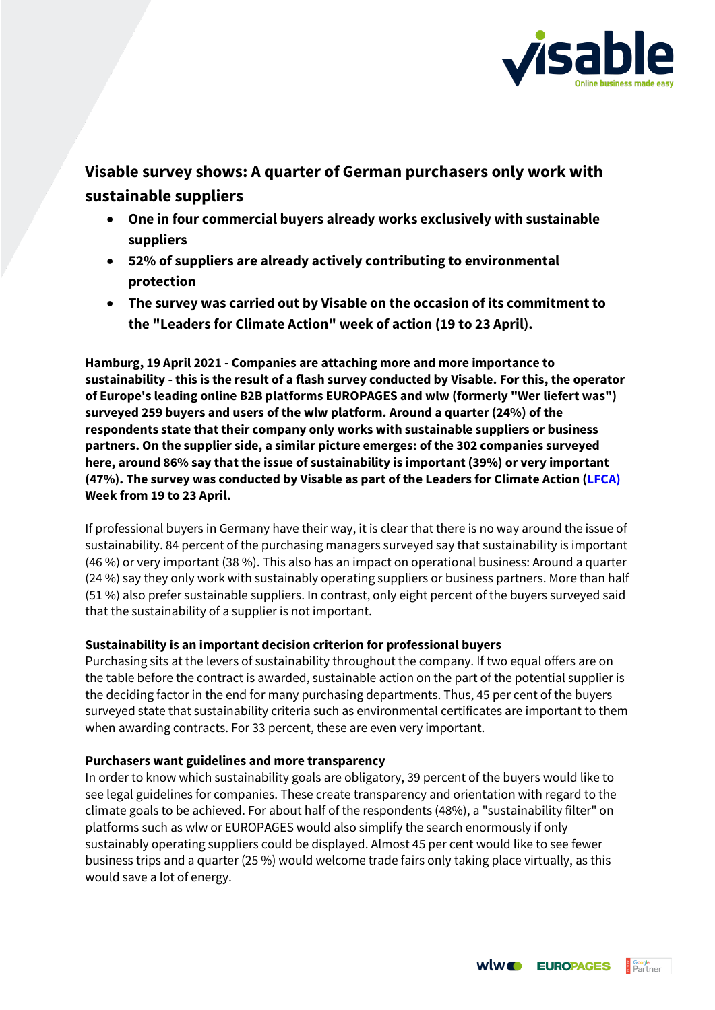

# **Visable survey shows: A quarter of German purchasers only work with sustainable suppliers**

- **One in four commercial buyers already works exclusively with sustainable suppliers**
- **52% of suppliers are already actively contributing to environmental protection**
- **The survey was carried out by Visable on the occasion of its commitment to the "Leaders for Climate Action" week of action (19 to 23 April).**

**Hamburg, 19 April 2021 - Companies are attaching more and more importance to sustainability - this is the result of a flash survey conducted by Visable. For this, the operator of Europe's leading online B2B platforms EUROPAGES and wlw (formerly "Wer liefert was") surveyed 259 buyers and users of the wlw platform. Around a quarter (24%) of the respondents state that their company only works with sustainable suppliers or business partners. On the supplier side, a similar picture emerges: of the 302 companies surveyed here, around 86% say that the issue of sustainability is important (39%) or very important (47%). The survey was conducted by Visable as part of the Leaders for Climate Action [\(LFCA\)](https://lfca.earth/ALL_de/) Week from 19 to 23 April.** 

If professional buyers in Germany have their way, it is clear that there is no way around the issue of sustainability. 84 percent of the purchasing managers surveyed say that sustainability is important (46 %) or very important (38 %). This also has an impact on operational business: Around a quarter (24 %) say they only work with sustainably operating suppliers or business partners. More than half (51 %) also prefer sustainable suppliers. In contrast, only eight percent of the buyers surveyed said that the sustainability of a supplier is not important.

# **Sustainability is an important decision criterion for professional buyers**

Purchasing sits at the levers of sustainability throughout the company. If two equal offers are on the table before the contract is awarded, sustainable action on the part of the potential supplier is the deciding factor in the end for many purchasing departments. Thus, 45 per cent of the buyers surveyed state that sustainability criteria such as environmental certificates are important to them when awarding contracts. For 33 percent, these are even very important.

# **Purchasers want guidelines and more transparency**

In order to know which sustainability goals are obligatory, 39 percent of the buyers would like to see legal guidelines for companies. These create transparency and orientation with regard to the climate goals to be achieved. For about half of the respondents (48%), a "sustainability filter" on platforms such as wlw or EUROPAGES would also simplify the search enormously if only sustainably operating suppliers could be displayed. Almost 45 per cent would like to see fewer business trips and a quarter (25 %) would welcome trade fairs only taking place virtually, as this would save a lot of energy.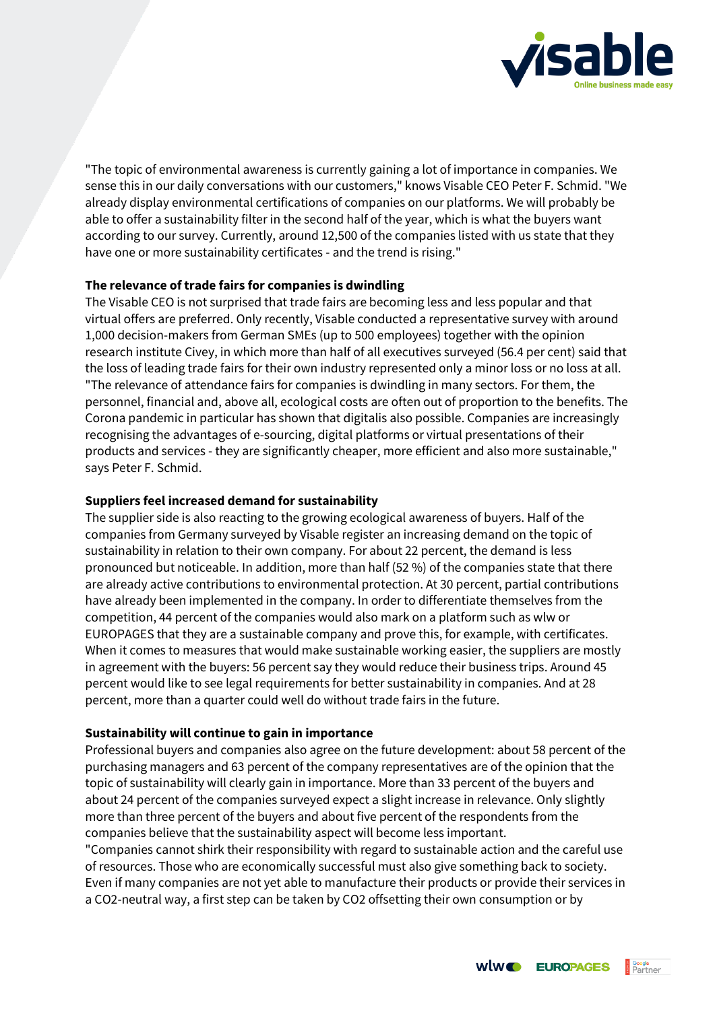

"The topic of environmental awareness is currently gaining a lot of importance in companies. We sense this in our daily conversations with our customers," knows Visable CEO Peter F. Schmid. "We already display environmental certifications of companies on our platforms. We will probably be able to offer a sustainability filter in the second half of the year, which is what the buyers want according to our survey. Currently, around 12,500 of the companies listed with us state that they have one or more sustainability certificates - and the trend is rising."

### **The relevance of trade fairs for companies is dwindling**

The Visable CEO is not surprised that trade fairs are becoming less and less popular and that virtual offers are preferred. Only recently, Visable conducted a representative survey with around 1,000 decision-makers from German SMEs (up to 500 employees) together with the opinion research institute Civey, in which more than half of all executives surveyed (56.4 per cent) said that the loss of leading trade fairs for their own industry represented only a minor loss or no loss at all. "The relevance of attendance fairs for companies is dwindling in many sectors. For them, the personnel, financial and, above all, ecological costs are often out of proportion to the benefits. The Corona pandemic in particular has shown that digitalis also possible. Companies are increasingly recognising the advantages of e-sourcing, digital platforms or virtual presentations of their products and services - they are significantly cheaper, more efficient and also more sustainable," says Peter F. Schmid.

### **Suppliers feel increased demand for sustainability**

The supplier side is also reacting to the growing ecological awareness of buyers. Half of the companies from Germany surveyed by Visable register an increasing demand on the topic of sustainability in relation to their own company. For about 22 percent, the demand is less pronounced but noticeable. In addition, more than half (52 %) of the companies state that there are already active contributions to environmental protection. At 30 percent, partial contributions have already been implemented in the company. In order to differentiate themselves from the competition, 44 percent of the companies would also mark on a platform such as wlw or EUROPAGES that they are a sustainable company and prove this, for example, with certificates. When it comes to measures that would make sustainable working easier, the suppliers are mostly in agreement with the buyers: 56 percent say they would reduce their business trips. Around 45 percent would like to see legal requirements for better sustainability in companies. And at 28 percent, more than a quarter could well do without trade fairs in the future.

### **Sustainability will continue to gain in importance**

Professional buyers and companies also agree on the future development: about 58 percent of the purchasing managers and 63 percent of the company representatives are of the opinion that the topic of sustainability will clearly gain in importance. More than 33 percent of the buyers and about 24 percent of the companies surveyed expect a slight increase in relevance. Only slightly more than three percent of the buyers and about five percent of the respondents from the companies believe that the sustainability aspect will become less important.

"Companies cannot shirk their responsibility with regard to sustainable action and the careful use of resources. Those who are economically successful must also give something back to society. Even if many companies are not yet able to manufacture their products or provide their services in a CO2-neutral way, a first step can be taken by CO2 offsetting their own consumption or by